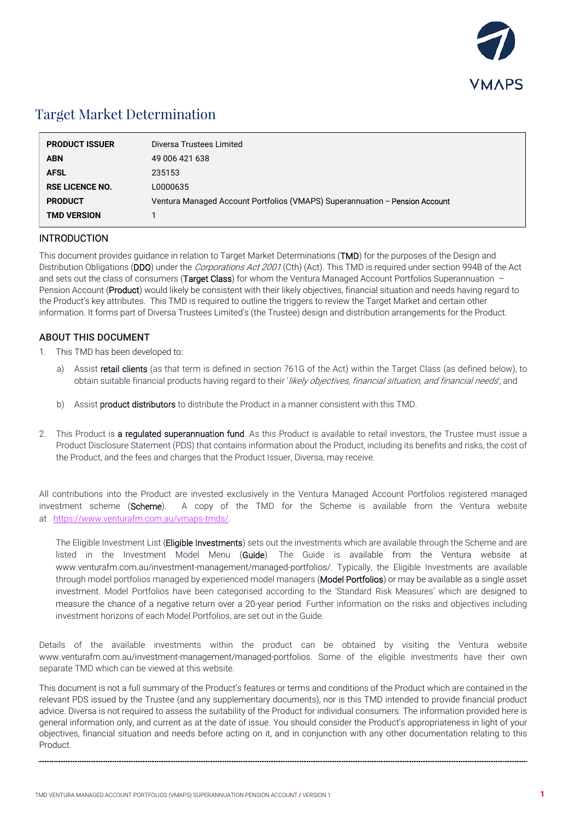

# Target Market Determination

| <b>PRODUCT ISSUER</b>  | Diversa Trustees Limited                                                    |
|------------------------|-----------------------------------------------------------------------------|
| <b>ABN</b>             | 49 006 421 638                                                              |
| <b>AFSL</b>            | 235153                                                                      |
| <b>RSE LICENCE NO.</b> | L0000635                                                                    |
| <b>PRODUCT</b>         | Ventura Managed Account Portfolios (VMAPS) Superannuation – Pension Account |
| <b>TMD VERSION</b>     |                                                                             |
|                        |                                                                             |

### INTRODUCTION

This document provides guidance in relation to Target Market Determinations (TMD) for the purposes of the Design and Distribution Obligations (DDO) under the Corporations Act 2001 (Cth) (Act). This TMD is required under section 994B of the Act and sets out the class of consumers (Target Class) for whom the Ventura Managed Account Portfolios Superannuation  $-$ Pension Account (Product) would likely be consistent with their likely objectives, financial situation and needs having regard to the Product's key attributes. This TMD is required to outline the triggers to review the Target Market and certain other information. It forms part of Diversa Trustees Limited's (the Trustee) design and distribution arrangements for the Product.

### ABOUT THIS DOCUMENT

- 1. This TMD has been developed to:
	- a) Assist retail clients (as that term is defined in section 761G of the Act) within the Target Class (as defined below), to obtain suitable financial products having regard to their 'likely objectives, financial situation, and financial needs'; and
	- b) Assist **product distributors** to distribute the Product in a manner consistent with this TMD.
- 2. This Product is a regulated superannuation fund. As this Product is available to retail investors, the Trustee must issue a Product Disclosure Statement (PDS) that contains information about the Product, including its benefits and risks, the cost of the Product, and the fees and charges that the Product Issuer, Diversa, may receive.

All contributions into the Product are invested exclusively in the Ventura Managed Account Portfolios registered managed investment scheme (Scheme). A copy of the TMD for the Scheme is available from the Ventura website at [https://www.venturafm.com.au/vmaps-t](http://www.venturafm.com.au/investor-resources)[mds/](https://www.venturafm.com.au/vmaps-tmds/).

The Eligible Investment List (Eligible Investments) sets out the investments which are available through the Scheme and are listed in the Investment Model Menu (Guide). The Guide is available from the Ventura website at www.venturafm.com.au/investment-management/managed-portfolios/. Typically, the Eligible Investments are available through model portfolios managed by experienced model managers (Model Portfolios) or may be available as a single asset investment. Model Portfolios have been categorised according to the 'Standard Risk Measures' which are designed to measure the chance of a negative return over a 20-year period. Further information on the risks and objectives including investment horizons of each Model Portfolios, are set out in the Guide.

Details of the available investments within the product can be obtained by visiting the Ventura website www.venturafm.com.au/investment-management/managed-portfolios. Some of the eligible investments have their own separate TMD which can be viewed at this website.

This document is not a full summary of the Product's features or terms and conditions of the Product which are contained in the relevant PDS issued by the Trustee (and any supplementary documents), nor is this TMD intended to provide financial product advice. Diversa is not required to assess the suitability of the Product for individual consumers. The information provided here is general information only, and current as at the date of issue. You should consider the Product's appropriateness in light of your objectives, financial situation and needs before acting on it, and in conjunction with any other documentation relating to this Product.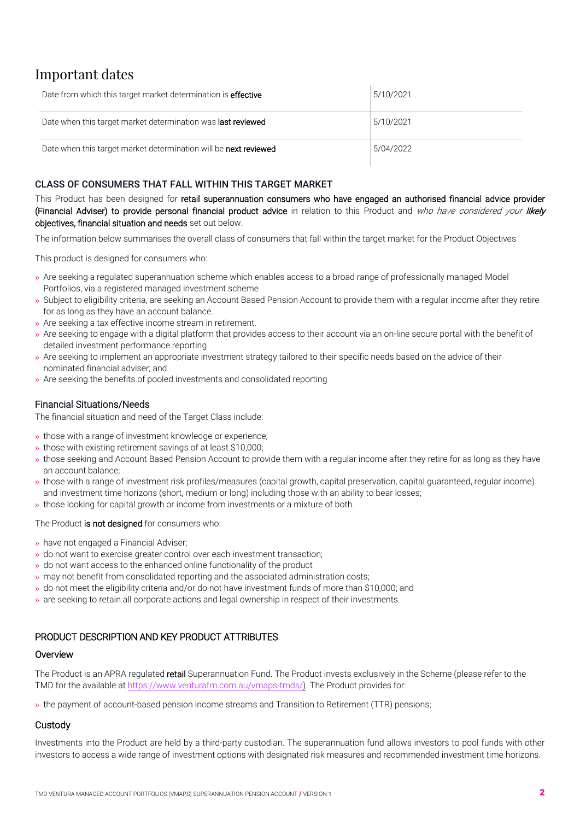# Important dates

| Date from which this target market determination is <b>effective</b> | 5/10/2021 |
|----------------------------------------------------------------------|-----------|
| Date when this target market determination was <b>last reviewed</b>  | 5/10/2021 |
| Date when this target market determination will be next reviewed     | 5/04/2022 |

# CLASS OF CONSUMERS THAT FALL WITHIN THIS TARGET MARKET

This Product has been designed for retail superannuation consumers who have engaged an authorised financial advice provider (Financial Adviser) to provide personal financial product advice in relation to this Product and who have considered your likely objectives, financial situation and needs set out below.

The information below summarises the overall class of consumers that fall within the target market for the Product Objectives

This product is designed for consumers who:

- » Are seeking a regulated superannuation scheme which enables access to a broad range of professionally managed Model Portfolios, via a registered managed investment scheme
- » Subject to eligibility criteria, are seeking an Account Based Pension Account to provide them with a regular income after they retire for as long as they have an account balance.
- » Are seeking a tax effective income stream in retirement.
- » Are seeking to engage with a digital platform that provides access to their account via an on-line secure portal with the benefit of detailed investment performance reporting
- » Are seeking to implement an appropriate investment strategy tailored to their specific needs based on the advice of their nominated financial adviser; and
- » Are seeking the benefits of pooled investments and consolidated reporting

### Financial Situations/Needs

The financial situation and need of the Target Class include:

- » those with a range of investment knowledge or experience;
- » those with existing retirement savings of at least \$10,000;
- » those seeking and Account Based Pension Account to provide them with a regular income after they retire for as long as they have an account balance;
- » those with a range of investment risk profiles/measures (capital growth, capital preservation, capital guaranteed, regular income) and investment time horizons (short, medium or long) including those with an ability to bear losses;
- » those looking for capital growth or income from investments or a mixture of both.

### The Product is not designed for consumers who:

- » have not engaged a Financial Adviser;
- » do not want to exercise greater control over each investment transaction;
- » do not want access to the enhanced online functionality of the product
- » may not benefit from consolidated reporting and the associated administration costs;
- » do not meet the eligibility criteria and/or do not have investment funds of more than \$10,000; and
- » are seeking to retain all corporate actions and legal ownership in respect of their investments.

### PRODUCT DESCRIPTION AND KEY PRODUCT ATTRIBUTES

# **Overview**

The Product is an APRA regulated retail Superannuation Fund. The Product invests exclusively in the Scheme (please refer to the TMD for the available at [https://www.venturafm.com.au/vmap](http://www.venturafm.com.au/investor-resources)[s-tmds/](https://www.venturafm.com.au/vmaps-tmds/)). The Product provides for:

» the payment of account-based pension income streams and Transition to Retirement (TTR) pensions;

# **Custody**

Investments into the Product are held by a third-party custodian. The superannuation fund allows investors to pool funds with other investors to access a wide range of investment options with designated risk measures and recommended investment time horizons.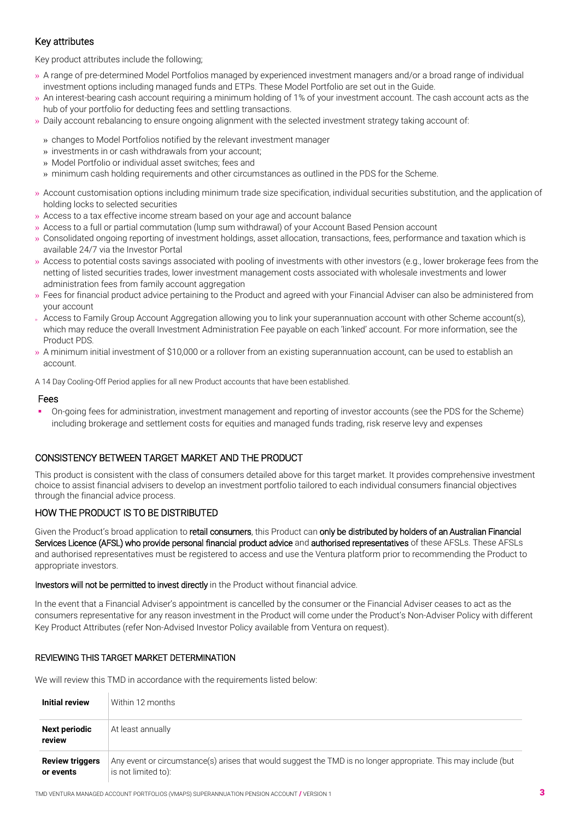## Key attributes

Key product attributes include the following;

- » A range of pre-determined Model Portfolios managed by experienced investment managers and/or a broad range of individual investment options including managed funds and ETPs. These Model Portfolio are set out in the Guide.
- » An interest-bearing cash account requiring a minimum holding of 1% of your investment account. The cash account acts as the hub of your portfolio for deducting fees and settling transactions.
- » Daily account rebalancing to ensure ongoing alignment with the selected investment strategy taking account of:
	- » changes to Model Portfolios notified by the relevant investment manager
	- » investments in or cash withdrawals from your account;
	- » Model Portfolio or individual asset switches; fees and
	- » minimum cash holding requirements and other circumstances as outlined in the PDS for the Scheme.
- » Account customisation options including minimum trade size specification, individual securities substitution, and the application of holding locks to selected securities
- » Access to a tax effective income stream based on your age and account balance
- » Access to a full or partial commutation (lump sum withdrawal) of your Account Based Pension account
- » Consolidated ongoing reporting of investment holdings, asset allocation, transactions, fees, performance and taxation which is available 24/7 via the Investor Portal
- » Access to potential costs savings associated with pooling of investments with other investors (e.g., lower brokerage fees from the netting of listed securities trades, lower investment management costs associated with wholesale investments and lower administration fees from family account aggregation
- » Fees for financial product advice pertaining to the Product and agreed with your Financial Adviser can also be administered from your account
- » Access to Family Group Account Aggregation allowing you to link your superannuation account with other Scheme account(s), which may reduce the overall Investment Administration Fee payable on each 'linked' account. For more information, see the Product PDS.
- » A minimum initial investment of \$10,000 or a rollover from an existing superannuation account, can be used to establish an account.

A 14 Day Cooling-Off Period applies for all new Product accounts that have been established.

### Fees

 On-going fees for administration, investment management and reporting of investor accounts (see the PDS for the Scheme) including brokerage and settlement costs for equities and managed funds trading, risk reserve levy and expenses

### CONSISTENCY BETWEEN TARGET MARKET AND THE PRODUCT

This product is consistent with the class of consumers detailed above for this target market. It provides comprehensive investment choice to assist financial advisers to develop an investment portfolio tailored to each individual consumers financial objectives through the financial advice process.

### HOW THE PRODUCT IS TO BE DISTRIBUTED

Given the Product's broad application to retail consumers, this Product can only be distributed by holders of an Australian Financial Services Licence (AFSL) who provide personal financial product advice and authorised representatives of these AFSLs. These AFSLs and authorised representatives must be registered to access and use the Ventura platform prior to recommending the Product to appropriate investors.

### Investors will not be permitted to invest directly in the Product without financial advice.

In the event that a Financial Adviser's appointment is cancelled by the consumer or the Financial Adviser ceases to act as the consumers representative for any reason investment in the Product will come under the Product's Non-Adviser Policy with different Key Product Attributes (refer Non-Advised Investor Policy available from Ventura on request).

### REVIEWING THIS TARGET MARKET DETERMINATION

We will review this TMD in accordance with the requirements listed below:

| Initial review                      | Within 12 months                                                                                                                      |
|-------------------------------------|---------------------------------------------------------------------------------------------------------------------------------------|
| <b>Next periodic</b><br>review      | At least annually                                                                                                                     |
| <b>Review triggers</b><br>or events | Any event or circumstance(s) arises that would suggest the TMD is no longer appropriate. This may include (but<br>is not limited to): |